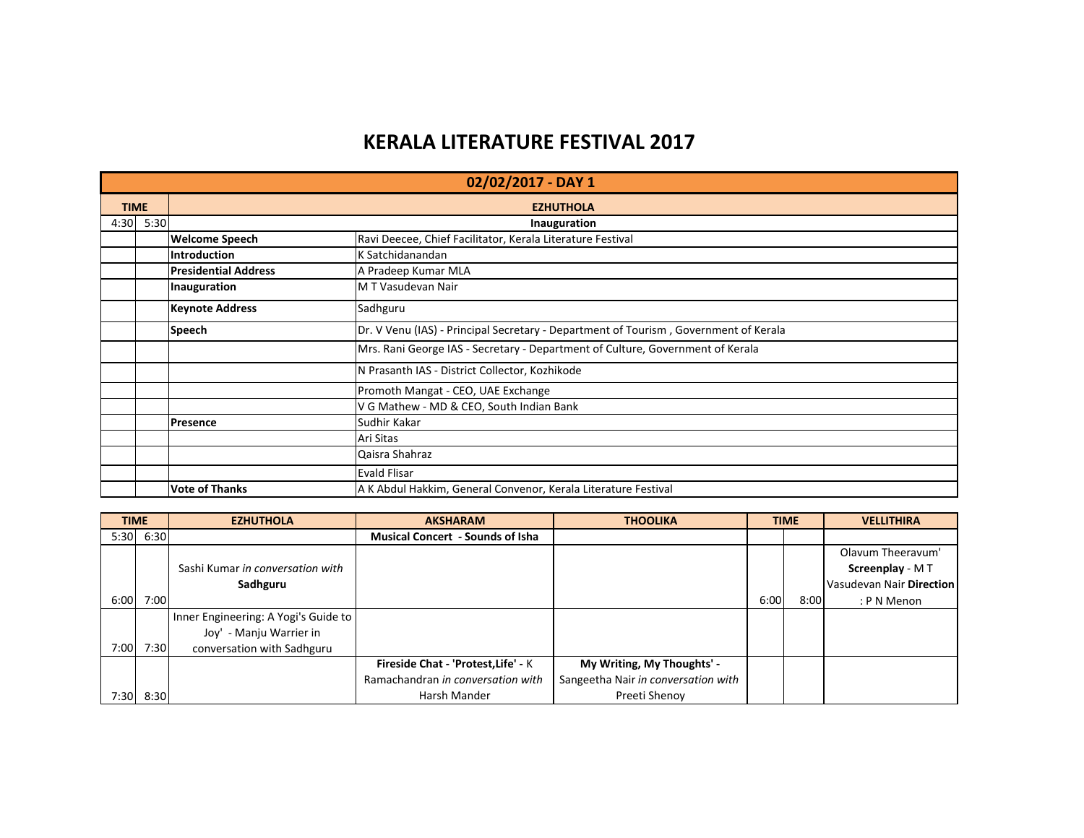## **KERALA LITERATURE FESTIVAL 2017**

|             | 02/02/2017 - DAY 1 |                                    |                                                                                      |  |  |  |  |
|-------------|--------------------|------------------------------------|--------------------------------------------------------------------------------------|--|--|--|--|
| <b>TIME</b> |                    |                                    | <b>EZHUTHOLA</b>                                                                     |  |  |  |  |
| 4:30        | 5:30               |                                    | Inauguration                                                                         |  |  |  |  |
|             |                    | <b>Welcome Speech</b>              | Ravi Deecee, Chief Facilitator, Kerala Literature Festival                           |  |  |  |  |
|             |                    | <b>Introduction</b>                | K Satchidanandan                                                                     |  |  |  |  |
|             |                    | <b>Presidential Address</b>        | A Pradeep Kumar MLA                                                                  |  |  |  |  |
|             |                    | Inauguration                       | M T Vasudevan Nair                                                                   |  |  |  |  |
|             |                    | <b>Keynote Address</b><br>Sadhguru |                                                                                      |  |  |  |  |
|             |                    | <b>Speech</b>                      | Dr. V Venu (IAS) - Principal Secretary - Department of Tourism, Government of Kerala |  |  |  |  |
|             |                    |                                    | Mrs. Rani George IAS - Secretary - Department of Culture, Government of Kerala       |  |  |  |  |
|             |                    |                                    | N Prasanth IAS - District Collector, Kozhikode                                       |  |  |  |  |
|             |                    |                                    | Promoth Mangat - CEO, UAE Exchange                                                   |  |  |  |  |
|             |                    |                                    | V G Mathew - MD & CEO, South Indian Bank                                             |  |  |  |  |
|             |                    | <b>Presence</b>                    | Sudhir Kakar                                                                         |  |  |  |  |
|             |                    |                                    | Ari Sitas                                                                            |  |  |  |  |
|             |                    |                                    | Qaisra Shahraz                                                                       |  |  |  |  |
|             |                    |                                    | <b>Evald Flisar</b>                                                                  |  |  |  |  |
|             |                    | <b>Vote of Thanks</b>              | A K Abdul Hakkim, General Convenor, Kerala Literature Festival                       |  |  |  |  |

| <b>TIME</b> |           | <b>EZHUTHOLA</b>                     | <b>AKSHARAM</b>                         | <b>THOOLIKA</b>                     |      | <b>TIME</b> | <b>VELLITHIRA</b>        |
|-------------|-----------|--------------------------------------|-----------------------------------------|-------------------------------------|------|-------------|--------------------------|
|             | 5:30 6:30 |                                      | <b>Musical Concert - Sounds of Isha</b> |                                     |      |             |                          |
|             |           |                                      |                                         |                                     |      |             | Olavum Theeravum'        |
|             |           | Sashi Kumar in conversation with     |                                         |                                     |      |             | Screenplay - MT          |
|             |           | Sadhguru                             |                                         |                                     |      |             | Vasudevan Nair Direction |
| 6:00        | 7:00      |                                      |                                         |                                     | 6:00 | 8:00        | : P N Menon              |
|             |           | Inner Engineering: A Yogi's Guide to |                                         |                                     |      |             |                          |
|             |           | - Manju Warrier in<br>Jov'           |                                         |                                     |      |             |                          |
| 7:00        | 7:30      | conversation with Sadhguru           |                                         |                                     |      |             |                          |
|             |           |                                      | Fireside Chat - 'Protest, Life' - K     | My Writing, My Thoughts' -          |      |             |                          |
|             |           |                                      | Ramachandran in conversation with       | Sangeetha Nair in conversation with |      |             |                          |
| 7:30        | 8:30      |                                      | Harsh Mander                            | Preeti Shenov                       |      |             |                          |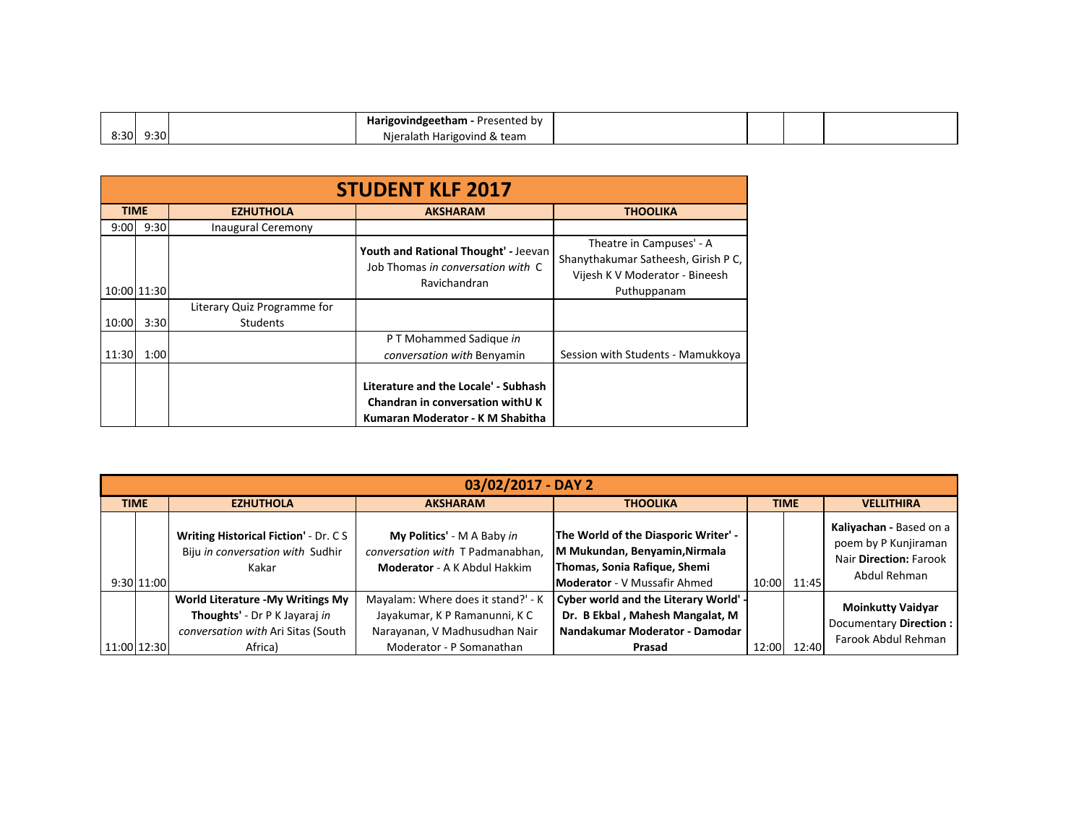|              | <b>eetham</b> - Presented by <b>rea</b><br>JVINGE <del>r</del> |  |  |
|--------------|----------------------------------------------------------------|--|--|
| 8:30<br>9:30 | .<br>Harigovind & team<br>Niei<br>'didli                       |  |  |

|       | <b>STUDENT KLF 2017</b> |                                                |                                                                                                              |                                                                                                                  |  |  |  |  |  |  |  |  |
|-------|-------------------------|------------------------------------------------|--------------------------------------------------------------------------------------------------------------|------------------------------------------------------------------------------------------------------------------|--|--|--|--|--|--|--|--|
|       | <b>TIME</b>             | <b>EZHUTHOLA</b>                               | <b>AKSHARAM</b>                                                                                              | <b>THOOLIKA</b>                                                                                                  |  |  |  |  |  |  |  |  |
| 9:00  | 9:30                    | <b>Inaugural Ceremony</b>                      |                                                                                                              |                                                                                                                  |  |  |  |  |  |  |  |  |
|       | 10:00 11:30             |                                                | Youth and Rational Thought' - Jeevan<br>Job Thomas in conversation with C<br>Ravichandran                    | Theatre in Campuses' - A<br>Shanythakumar Satheesh, Girish P C,<br>Vijesh K V Moderator - Bineesh<br>Puthuppanam |  |  |  |  |  |  |  |  |
| 10:00 | 3:30                    | Literary Quiz Programme for<br><b>Students</b> |                                                                                                              |                                                                                                                  |  |  |  |  |  |  |  |  |
| 11:30 | 1:00                    |                                                | P T Mohammed Sadique in<br>conversation with Benyamin                                                        | Session with Students - Mamukkoya                                                                                |  |  |  |  |  |  |  |  |
|       |                         |                                                | Literature and the Locale' - Subhash<br>Chandran in conversation with UK<br>Kumaran Moderator - K M Shabitha |                                                                                                                  |  |  |  |  |  |  |  |  |

|             | 03/02/2017 - DAY 2 |                                                                                                                     |                                                                                                                                  |                                                                                                                                              |             |       |                                                                                           |  |  |  |  |
|-------------|--------------------|---------------------------------------------------------------------------------------------------------------------|----------------------------------------------------------------------------------------------------------------------------------|----------------------------------------------------------------------------------------------------------------------------------------------|-------------|-------|-------------------------------------------------------------------------------------------|--|--|--|--|
| <b>TIME</b> |                    | <b>EZHUTHOLA</b>                                                                                                    | <b>THOOLIKA</b><br><b>AKSHARAM</b>                                                                                               |                                                                                                                                              | <b>TIME</b> |       | <b>VELLITHIRA</b>                                                                         |  |  |  |  |
|             | 9:30 11:00         | <b>Writing Historical Fiction' - Dr. CS</b><br>Biju in conversation with Sudhir<br>Kakar                            | My Politics' - M A Baby in<br>conversation with T Padmanabhan.<br><b>Moderator</b> - A K Abdul Hakkim                            | The World of the Diasporic Writer' -<br>M Mukundan, Benyamin, Nirmala<br>Thomas, Sonia Rafique, Shemi<br><b>Moderator</b> - V Mussafir Ahmed | 10:00       | 11:45 | Kaliyachan - Based on a<br>poem by P Kunjiraman<br>Nair Direction: Farook<br>Abdul Rehman |  |  |  |  |
|             | 11:00 12:30        | World Literature - My Writings My<br>Thoughts' - Dr P K Jayaraj in<br>conversation with Ari Sitas (South<br>Africa) | Mayalam: Where does it stand?' - K<br>Jayakumar, K P Ramanunni, K C<br>Narayanan, V Madhusudhan Nair<br>Moderator - P Somanathan | Cyber world and the Literary World' -<br>Dr. B Ekbal, Mahesh Mangalat, M<br>Nandakumar Moderator - Damodar<br>Prasad                         | 12:00       | 12:40 | <b>Moinkutty Vaidyar</b><br>Documentary Direction :<br>Farook Abdul Rehman                |  |  |  |  |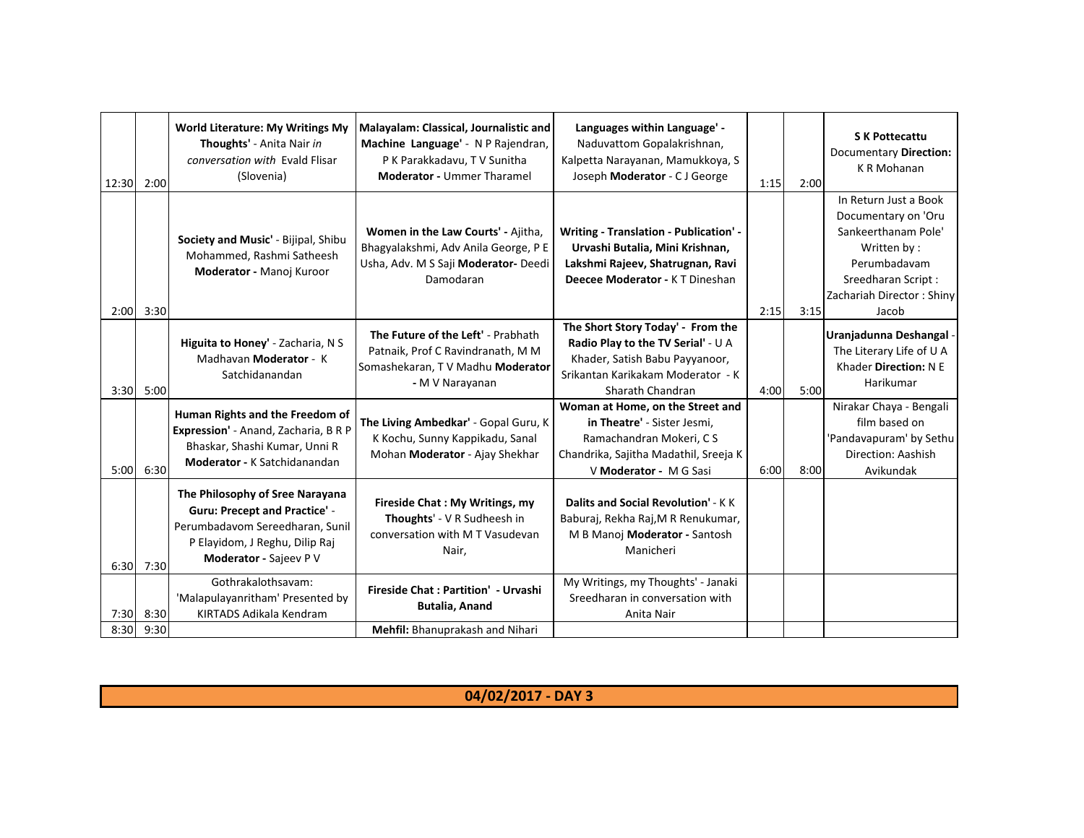| 12:30 | 2:00              | <b>World Literature: My Writings My</b><br>Thoughts' - Anita Nair in<br>conversation with Evald Flisar<br>(Slovenia)                                                   | Malayalam: Classical, Journalistic and<br>Machine Language' - N P Rajendran,<br>P K Parakkadavu, T V Sunitha<br><b>Moderator - Ummer Tharamel</b> | Languages within Language' -<br>Naduvattom Gopalakrishnan,<br>Kalpetta Narayanan, Mamukkoya, S<br>Joseph Moderator - CJ George                                     | 1:15 | 2:00 | <b>S K Pottecattu</b><br>Documentary Direction:<br>K R Mohanan                                                                                                 |
|-------|-------------------|------------------------------------------------------------------------------------------------------------------------------------------------------------------------|---------------------------------------------------------------------------------------------------------------------------------------------------|--------------------------------------------------------------------------------------------------------------------------------------------------------------------|------|------|----------------------------------------------------------------------------------------------------------------------------------------------------------------|
|       | 2:00 3:30         | Society and Music' - Bijipal, Shibu<br>Mohammed, Rashmi Satheesh<br>Moderator - Manoj Kuroor                                                                           | Women in the Law Courts' - Ajitha,<br>Bhagyalakshmi, Adv Anila George, P E<br>Usha, Adv. M S Saji Moderator- Deedi<br>Damodaran                   | Writing - Translation - Publication' -<br>Urvashi Butalia, Mini Krishnan,<br>Lakshmi Rajeev, Shatrugnan, Ravi<br>Deecee Moderator - K T Dineshan                   | 2:15 | 3:15 | In Return Just a Book<br>Documentary on 'Oru<br>Sankeerthanam Pole'<br>Written by:<br>Perumbadavam<br>Sreedharan Script:<br>Zachariah Director: Shiny<br>Jacob |
|       | 3:30 5:00         | Higuita to Honey' - Zacharia, N S<br>Madhavan Moderator - K<br>Satchidanandan                                                                                          | The Future of the Left' - Prabhath<br>Patnaik, Prof C Ravindranath, M M<br>Somashekaran, TV Madhu Moderator<br>- M V Narayanan                    | The Short Story Today' - From the<br>Radio Play to the TV Serial' - U A<br>Khader, Satish Babu Payyanoor,<br>Srikantan Karikakam Moderator - K<br>Sharath Chandran | 4:00 | 5:00 | Uranjadunna Deshangal<br>The Literary Life of U A<br>Khader Direction: N E<br>Harikumar                                                                        |
|       | 5:00 6:30         | Human Rights and the Freedom of<br>Expression' - Anand, Zacharia, B R P<br>Bhaskar, Shashi Kumar, Unni R<br><b>Moderator - K Satchidanandan</b>                        | The Living Ambedkar' - Gopal Guru, K<br>K Kochu, Sunny Kappikadu, Sanal<br>Mohan Moderator - Ajay Shekhar                                         | Woman at Home, on the Street and<br>in Theatre' - Sister Jesmi,<br>Ramachandran Mokeri, CS<br>Chandrika, Sajitha Madathil, Sreeja K<br>V Moderator - M G Sasi      | 6:00 | 8:00 | Nirakar Chaya - Bengali<br>film based on<br>'Pandavapuram' by Sethu<br>Direction: Aashish<br>Avikundak                                                         |
|       | $6:30$ 7:30       | The Philosophy of Sree Narayana<br><b>Guru: Precept and Practice' -</b><br>Perumbadavom Sereedharan, Sunil<br>P Elayidom, J Reghu, Dilip Raj<br>Moderator - Sajeev P V | Fireside Chat: My Writings, my<br>Thoughts' - V R Sudheesh in<br>conversation with M T Vasudevan<br>Nair,                                         | Dalits and Social Revolution' - K K<br>Baburaj, Rekha Raj, M R Renukumar,<br>M B Manoj Moderator - Santosh<br>Manicheri                                            |      |      |                                                                                                                                                                |
| 8:30  | 7:30 8:30<br>9:30 | Gothrakalothsavam:<br>'Malapulayanritham' Presented by<br>KIRTADS Adikala Kendram                                                                                      | Fireside Chat: Partition' - Urvashi<br><b>Butalia, Anand</b><br>Mehfil: Bhanuprakash and Nihari                                                   | My Writings, my Thoughts' - Janaki<br>Sreedharan in conversation with<br>Anita Nair                                                                                |      |      |                                                                                                                                                                |

**04/02/2017 - DAY 3**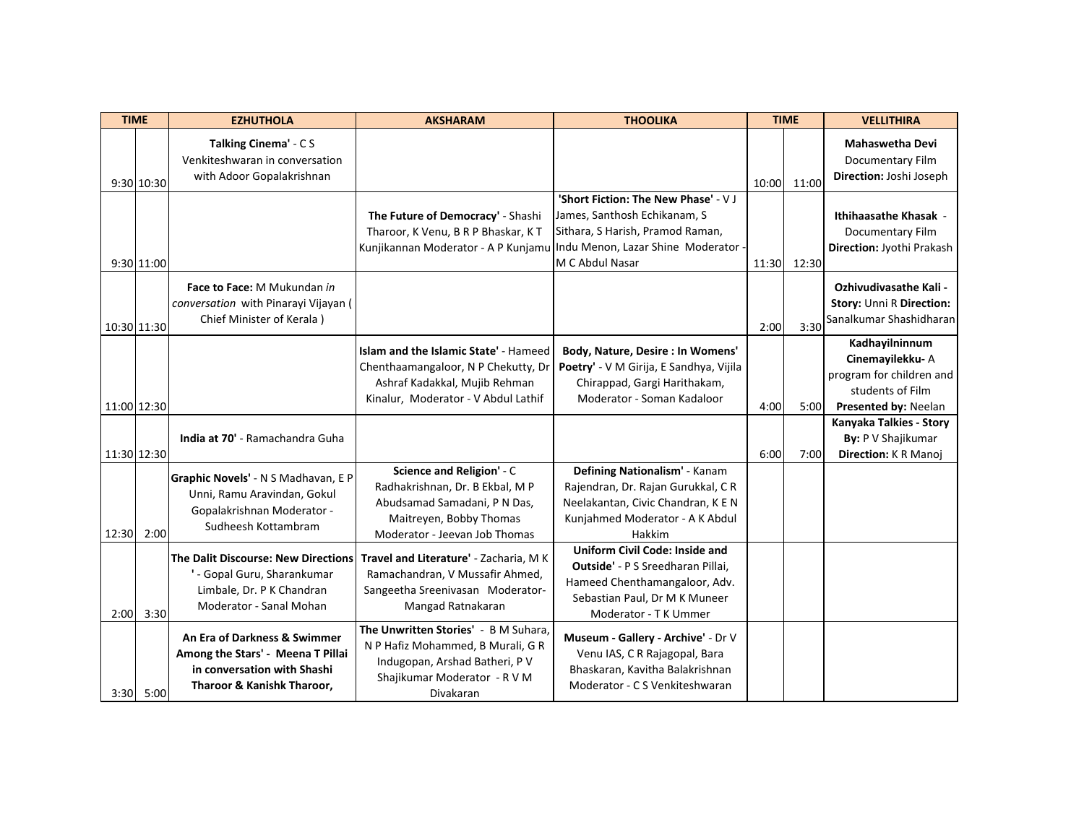| <b>TIME</b> |             | <b>EZHUTHOLA</b>                                                                                                                  | <b>AKSHARAM</b>                                                                                                                                          | <b>THOOLIKA</b>                                                                                                                                                       | <b>TIME</b> |       | <b>VELLITHIRA</b>                                                                                         |
|-------------|-------------|-----------------------------------------------------------------------------------------------------------------------------------|----------------------------------------------------------------------------------------------------------------------------------------------------------|-----------------------------------------------------------------------------------------------------------------------------------------------------------------------|-------------|-------|-----------------------------------------------------------------------------------------------------------|
|             | 9:30 10:30  | Talking Cinema' - C S<br>Venkiteshwaran in conversation<br>with Adoor Gopalakrishnan                                              |                                                                                                                                                          |                                                                                                                                                                       | 10:00       | 11:00 | <b>Mahaswetha Devi</b><br>Documentary Film<br>Direction: Joshi Joseph                                     |
|             | 9:30 11:00  |                                                                                                                                   | The Future of Democracy' - Shashi<br>Tharoor, K Venu, B R P Bhaskar, K T<br>Kunjikannan Moderator - A P Kunjamu                                          | 'Short Fiction: The New Phase' - V J<br>James, Santhosh Echikanam, S<br>Sithara, S Harish, Pramod Raman,<br>Indu Menon, Lazar Shine Moderator -<br>M C Abdul Nasar    | 11:30       | 12:30 | <b>Ithihaasathe Khasak -</b><br>Documentary Film<br>Direction: Jyothi Prakash                             |
| 10:30 11:30 |             | Face to Face: M Mukundan in<br>conversation with Pinarayi Vijayan (<br>Chief Minister of Kerala)                                  |                                                                                                                                                          |                                                                                                                                                                       | 2:00        | 3:30  | <b>Ozhivudivasathe Kali -</b><br>Story: Unni R Direction:<br>Sanalkumar Shashidharan                      |
| 11:00 12:30 |             |                                                                                                                                   | Islam and the Islamic State' - Hameed<br>Chenthaamangaloor, N P Chekutty, Dr<br>Ashraf Kadakkal, Mujib Rehman<br>Kinalur, Moderator - V Abdul Lathif     | Body, Nature, Desire : In Womens'<br>Poetry' - V M Girija, E Sandhya, Vijila<br>Chirappad, Gargi Harithakam,<br>Moderator - Soman Kadaloor                            | 4:00        | 5:00  | Kadhayilninnum<br>Cinemayilekku-A<br>program for children and<br>students of Film<br>Presented by: Neelan |
| 11:30 12:30 |             | <b>India at 70'</b> - Ramachandra Guha                                                                                            |                                                                                                                                                          |                                                                                                                                                                       | 6:00        | 7:00  | Kanyaka Talkies - Story<br>By: P V Shajikumar<br>Direction: K R Manoj                                     |
| 12:30       | 2:00        | Graphic Novels' - N S Madhavan, E P<br>Unni, Ramu Aravindan, Gokul<br>Gopalakrishnan Moderator -<br>Sudheesh Kottambram           | Science and Religion' - C<br>Radhakrishnan, Dr. B Ekbal, M P<br>Abudsamad Samadani, P N Das,<br>Maitreyen, Bobby Thomas<br>Moderator - Jeevan Job Thomas | Defining Nationalism' - Kanam<br>Rajendran, Dr. Rajan Gurukkal, CR<br>Neelakantan, Civic Chandran, K E N<br>Kunjahmed Moderator - A K Abdul<br>Hakkim                 |             |       |                                                                                                           |
|             | $2:00$ 3:30 | <b>The Dalit Discourse: New Directions</b><br>' - Gopal Guru, Sharankumar<br>Limbale, Dr. P K Chandran<br>Moderator - Sanal Mohan | Travel and Literature' - Zacharia, M K<br>Ramachandran, V Mussafir Ahmed,<br>Sangeetha Sreenivasan Moderator-<br>Mangad Ratnakaran                       | <b>Uniform Civil Code: Inside and</b><br>Outside' - P S Sreedharan Pillai,<br>Hameed Chenthamangaloor, Adv.<br>Sebastian Paul, Dr M K Muneer<br>Moderator - T K Ummer |             |       |                                                                                                           |
|             | 3:30 5:00   | An Era of Darkness & Swimmer<br>Among the Stars' - Meena T Pillai<br>in conversation with Shashi<br>Tharoor & Kanishk Tharoor,    | The Unwritten Stories' - B M Suhara,<br>N P Hafiz Mohammed, B Murali, G R<br>Indugopan, Arshad Batheri, P V<br>Shajikumar Moderator - R V M<br>Divakaran | Museum - Gallery - Archive' - Dr V<br>Venu IAS, C R Rajagopal, Bara<br>Bhaskaran, Kavitha Balakrishnan<br>Moderator - C S Venkiteshwaran                              |             |       |                                                                                                           |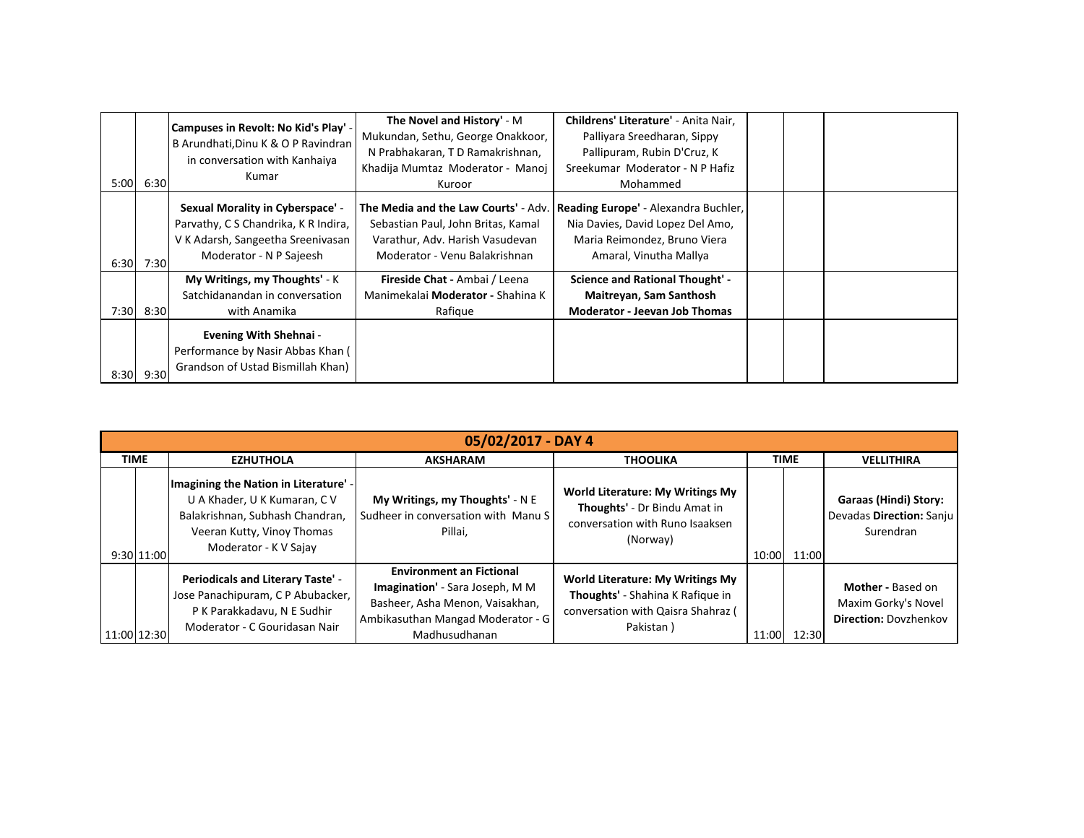| 5:00 | 6:30 | Campuses in Revolt: No Kid's Play' -<br>B Arundhati, Dinu K & O P Ravindran<br>in conversation with Kanhaiya<br>Kumar                           | The Novel and History' - M<br>Mukundan, Sethu, George Onakkoor,<br>N Prabhakaran, T D Ramakrishnan,<br>Khadija Mumtaz Moderator - Manoj<br>Kuroor | Childrens' Literature' - Anita Nair,<br>Palliyara Sreedharan, Sippy<br>Pallipuram, Rubin D'Cruz, K<br>Sreekumar Moderator - N P Hafiz<br>Mohammed |  |  |
|------|------|-------------------------------------------------------------------------------------------------------------------------------------------------|---------------------------------------------------------------------------------------------------------------------------------------------------|---------------------------------------------------------------------------------------------------------------------------------------------------|--|--|
| 6:30 | 7:30 | <b>Sexual Morality in Cyberspace' -</b><br>Parvathy, C S Chandrika, K R Indira,<br>V K Adarsh, Sangeetha Sreenivasan<br>Moderator - N P Sajeesh | The Media and the Law Courts' - Adv.<br>Sebastian Paul, John Britas, Kamal<br>Varathur, Adv. Harish Vasudevan<br>Moderator - Venu Balakrishnan    | Reading Europe' - Alexandra Buchler,<br>Nia Davies, David Lopez Del Amo,<br>Maria Reimondez, Bruno Viera<br>Amaral, Vinutha Mallya                |  |  |
| 7:30 | 8:30 | My Writings, my Thoughts' - K<br>Satchidanandan in conversation<br>with Anamika                                                                 | Fireside Chat - Ambai / Leena<br>Manimekalai Moderator - Shahina K<br>Rafigue                                                                     | <b>Science and Rational Thought' -</b><br>Maitreyan, Sam Santhosh<br><b>Moderator - Jeevan Job Thomas</b>                                         |  |  |
| 8:30 | 9:30 | <b>Evening With Shehnai -</b><br>Performance by Nasir Abbas Khan (<br>Grandson of Ustad Bismillah Khan)                                         |                                                                                                                                                   |                                                                                                                                                   |  |  |

| 05/02/2017 - DAY 4 |                                                                                                                                                                 |                                                                                                                                                             |                                                                                                                                |             |       |                                                                          |  |  |  |  |
|--------------------|-----------------------------------------------------------------------------------------------------------------------------------------------------------------|-------------------------------------------------------------------------------------------------------------------------------------------------------------|--------------------------------------------------------------------------------------------------------------------------------|-------------|-------|--------------------------------------------------------------------------|--|--|--|--|
| <b>TIME</b>        | <b>EZHUTHOLA</b>                                                                                                                                                | <b>AKSHARAM</b>                                                                                                                                             | <b>THOOLIKA</b>                                                                                                                | <b>TIME</b> |       | <b>VELLITHIRA</b>                                                        |  |  |  |  |
| 9:30 11:00         | Imagining the Nation in Literature' -<br>U A Khader, U K Kumaran, C V<br>Balakrishnan, Subhash Chandran,<br>Veeran Kutty, Vinoy Thomas<br>Moderator - K V Sajay | My Writings, my Thoughts' - N E<br>Sudheer in conversation with Manu S<br>Pillai.                                                                           | <b>World Literature: My Writings My</b><br>Thoughts' - Dr Bindu Amat in<br>conversation with Runo Isaaksen<br>(Norway)         | 10:00       | 11:00 | <b>Garaas (Hindi) Story:</b><br>Devadas Direction: Sanju<br>Surendran    |  |  |  |  |
| 11:00 12:30        | <b>Periodicals and Literary Taste' -</b><br>Jose Panachipuram, C P Abubacker,<br>P K Parakkadavu, N E Sudhir<br>Moderator - C Gouridasan Nair                   | <b>Environment an Fictional</b><br>Imagination' - Sara Joseph, M M<br>Basheer, Asha Menon, Vaisakhan,<br>Ambikasuthan Mangad Moderator - G<br>Madhusudhanan | <b>World Literature: My Writings My</b><br>Thoughts' - Shahina K Rafique in<br>conversation with Qaisra Shahraz (<br>Pakistan) | 11:00       | 12:30 | Mother - Based on<br>Maxim Gorky's Novel<br><b>Direction: Dovzhenkov</b> |  |  |  |  |